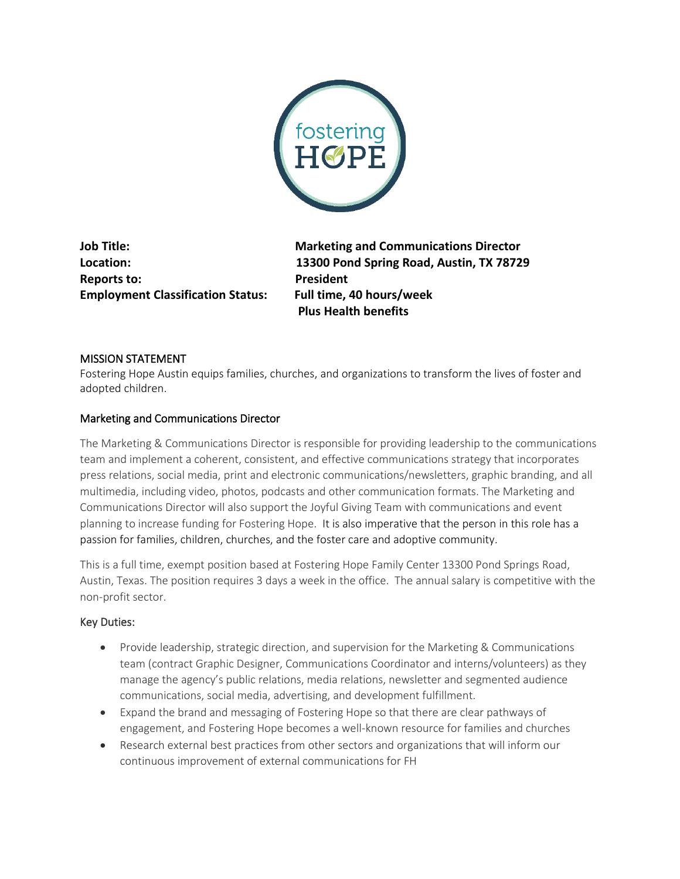

**Reports to:** President **Employment Classification Status: Full time, 40 hours/week**

**Job Title: Marketing and Communications Director Location: 13300 Pond Spring Road, Austin, TX 78729 Plus Health benefits**

## MISSION STATEMENT

Fostering Hope Austin equips families, churches, and organizations to transform the lives of foster and adopted children.

## Marketing and Communications Director

The Marketing & Communications Director is responsible for providing leadership to the communications team and implement a coherent, consistent, and effective communications strategy that incorporates press relations, social media, print and electronic communications/newsletters, graphic branding, and all multimedia, including video, photos, podcasts and other communication formats. The Marketing and Communications Director will also support the Joyful Giving Team with communications and event planning to increase funding for Fostering Hope. It is also imperative that the person in this role has a passion for families, children, churches, and the foster care and adoptive community.

This is a full time, exempt position based at Fostering Hope Family Center 13300 Pond Springs Road, Austin, Texas. The position requires 3 days a week in the office. The annual salary is competitive with the non-profit sector.

## Key Duties:

- Provide leadership, strategic direction, and supervision for the Marketing & Communications team (contract Graphic Designer, Communications Coordinator and interns/volunteers) as they manage the agency's public relations, media relations, newsletter and segmented audience communications, social media, advertising, and development fulfillment.
- Expand the brand and messaging of Fostering Hope so that there are clear pathways of engagement, and Fostering Hope becomes a well-known resource for families and churches
- Research external best practices from other sectors and organizations that will inform our continuous improvement of external communications for FH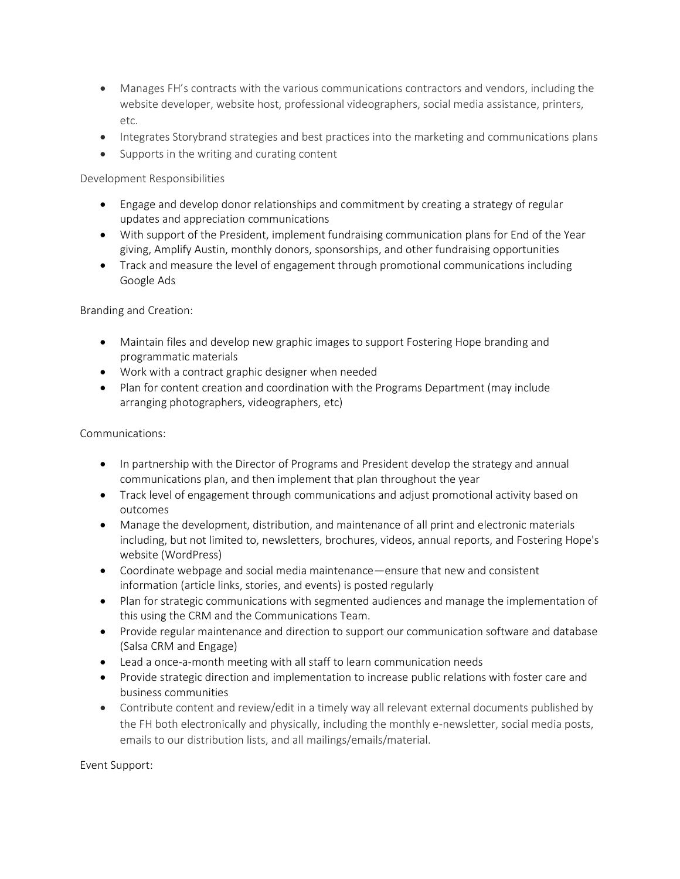- Manages FH's contracts with the various communications contractors and vendors, including the website developer, website host, professional videographers, social media assistance, printers, etc.
- Integrates Storybrand strategies and best practices into the marketing and communications plans
- Supports in the writing and curating content

Development Responsibilities

- Engage and develop donor relationships and commitment by creating a strategy of regular updates and appreciation communications
- With support of the President, implement fundraising communication plans for End of the Year giving, Amplify Austin, monthly donors, sponsorships, and other fundraising opportunities
- Track and measure the level of engagement through promotional communications including Google Ads

Branding and Creation:

- Maintain files and develop new graphic images to support Fostering Hope branding and programmatic materials
- Work with a contract graphic designer when needed
- Plan for content creation and coordination with the Programs Department (may include arranging photographers, videographers, etc)

Communications:

- In partnership with the Director of Programs and President develop the strategy and annual communications plan, and then implement that plan throughout the year
- Track level of engagement through communications and adjust promotional activity based on outcomes
- Manage the development, distribution, and maintenance of all print and electronic materials including, but not limited to, newsletters, brochures, videos, annual reports, and Fostering Hope's website (WordPress)
- Coordinate webpage and social media maintenance—ensure that new and consistent information (article links, stories, and events) is posted regularly
- Plan for strategic communications with segmented audiences and manage the implementation of this using the CRM and the Communications Team.
- Provide regular maintenance and direction to support our communication software and database (Salsa CRM and Engage)
- Lead a once-a-month meeting with all staff to learn communication needs
- Provide strategic direction and implementation to increase public relations with foster care and business communities
- Contribute content and review/edit in a timely way all relevant external documents published by the FH both electronically and physically, including the monthly e-newsletter, social media posts, emails to our distribution lists, and all mailings/emails/material.

Event Support: